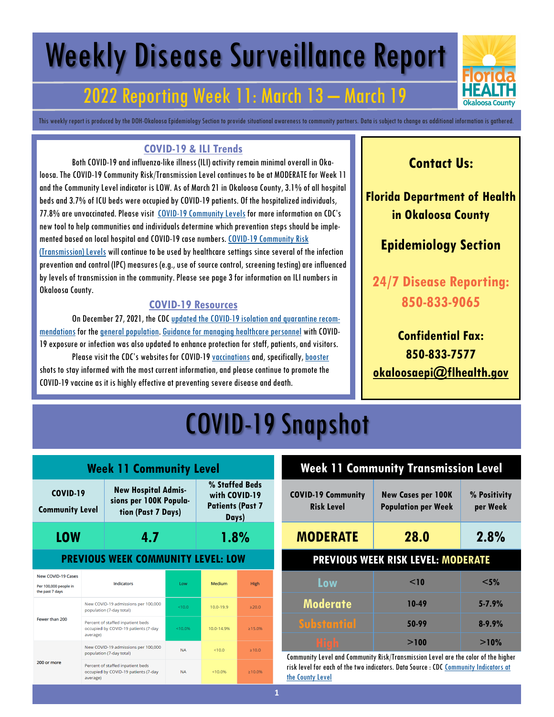# Weekly Disease Surveillance Report

### 2022 Reporting Week 11: March 13 – March 19

This weekly report is produced by the DOH-Okaloosa Epidemiology Section to provide situational awareness to community partners. Data is subject to change as additional information is gathered.

#### **COVID-19 & ILI Trends**

Both COVID-19 and influenza-like illness (ILI) activity remain minimal overall in Okaloosa. The COVID-19 Community Risk/Transmission Level continues to be at MODERATE for Week 11 and the Community Level indicator is LOW. As of March 21 in Okaloosa County, 3.1% of all hospital beds and 3.7% of ICU beds were occupied by COVID-19 patients. Of the hospitalized individuals, 77.8% are unvaccinated. Please visit [COVID-19 Community Levels](https://www.cdc.gov/coronavirus/2019-ncov/science/community-levels.html) for more information on CDC's new tool to help communities and individuals determine which prevention steps should be implemented based on local hospital and COVID-19 case numbers. [COVID-19 Community Risk](https://covid.cdc.gov/covid-data-tracker/#county-view?list_select_state=Florida&data-type=Risk&list_select_county=12091)  [\(Transmission\) Levels](https://covid.cdc.gov/covid-data-tracker/#county-view?list_select_state=Florida&data-type=Risk&list_select_county=12091) will continue to be used by healthcare settings since several of the infection prevention and control (IPC) measures (e.g., use of source control, screening testing) are influenced by levels of transmission in the community. Please see page 3 for information on ILI numbers in Okaloosa County.

#### **COVID-19 Resources**

On December 27, 2021, the CDC [updated the COVID-19 isolation and quarantine recom](https://www.cdc.gov/media/releases/2021/s1227-isolation-quarantine-guidance.html)[mendations](https://www.cdc.gov/media/releases/2021/s1227-isolation-quarantine-guidance.html) for the [general population.](https://www.cdc.gov/coronavirus/2019-ncov/your-health/quarantine-isolation.html#closecontact) [Guidance for managing healthcare personnel](https://www.cdc.gov/coronavirus/2019-ncov/hcp/guidance-risk-assesment-hcp.html) with COVID-19 exposure or infection was also updated to enhance protection for staff, patients, and visitors. Please visit the CDC's websites for COVID-19 [vaccinations](https://www.cdc.gov/coronavirus/2019-ncov/vaccines/expect.html) and, specifically, [booster](https://www.cdc.gov/coronavirus/2019-ncov/vaccines/booster-shot.html) shots to stay informed with the most current information, and please continue to promote the COVID-19 vaccine as it is highly effective at preventing severe disease and death.

### **Contact Us:**

**Florida Department of Health in Okaloosa County**

### **Epidemiology Section**

**24/7 Disease Reporting: 850-833-9065**

### **Confidential Fax: 850-833-7577 [okaloosaepi@flhealth.gov](mailto:okaloosaepi@flhealth.gov)**

## COVID-19 Snapshot

| <b>Week 11 Community Level</b>                                        |                                                                                       |                                                                            |              |                                                                     |               |
|-----------------------------------------------------------------------|---------------------------------------------------------------------------------------|----------------------------------------------------------------------------|--------------|---------------------------------------------------------------------|---------------|
| <b>COVID-19</b><br><b>Community Level</b>                             |                                                                                       | <b>New Hospital Admis-</b><br>sions per 100K Popula-<br>tion (Past 7 Days) |              | % Staffed Beds<br>with COVID-19<br><b>Patients (Past 7</b><br>Days) |               |
| LOW                                                                   | 4.7                                                                                   |                                                                            |              | 1.8%                                                                |               |
| <b>PREVIOUS WEEK COMMUNITY LEVEL: LOW</b>                             |                                                                                       |                                                                            |              |                                                                     |               |
| <b>New COVID-19 Cases</b><br>Per 100,000 people in<br>the past 7 days | <b>Indicators</b>                                                                     |                                                                            | Low          | Medium                                                              | <b>High</b>   |
|                                                                       | New COVID-19 admissions per 100,000<br>population (7-day total)                       |                                                                            | ${}_{<}10.0$ | $10.0 - 19.9$                                                       | >20.0         |
| Fewer than 200<br>average)                                            |                                                                                       | Percent of staffed inpatient beds<br>occupied by COVID-19 patients (7-day  | < 10.0%      | 10.0-14.9%                                                          | $\geq 15.0\%$ |
| 200 or more                                                           | New COVID-19 admissions per 100,000<br>population (7-day total)                       |                                                                            | <b>NA</b>    | < 10.0                                                              | >10.0         |
|                                                                       | Percent of staffed inpatient beds<br>occupied by COVID-19 patients (7-day<br>average) |                                                                            | <b>NA</b>    | < 10.0%                                                             | $\geq 10.0\%$ |

## **Week 11 Community Transmission Level**

| <b>COVID-19 Community</b><br><b>Risk Level</b> | <b>New Cases per 100K</b><br><b>Population per Week</b> | % Positivity<br>per Week |
|------------------------------------------------|---------------------------------------------------------|--------------------------|
| <b>MODERATE</b>                                | 28.0                                                    | 2.8%                     |
| <b>PREVIOUS WEEK RISK LEVEL: MODERATE</b>      |                                                         |                          |
| Low                                            | $<$ 10                                                  | $<$ 5%                   |
| <b>Moderate</b>                                | 10-49                                                   | $5 - 7.9%$               |
| <b>Substantial</b>                             | 50-99                                                   | $8 - 9.9%$               |
| <u> Stab</u>                                   | >100                                                    | >10%                     |

Community Level and Community Risk/Transmission Level are the color of the higher risk level for each of the two indicators. Data Source : CDC [Community Indicators at](https://covid.cdc.gov/covid-data-tracker/#county-view?list_select_state=Florida&data-type=Risk&list_select_county=12091)  [the County Level](https://covid.cdc.gov/covid-data-tracker/#county-view?list_select_state=Florida&data-type=Risk&list_select_county=12091)

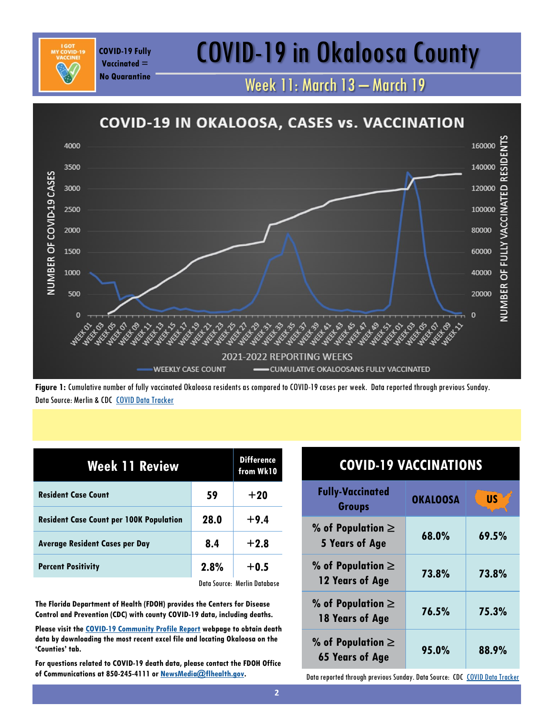## COVID-19 Fully **COVID-19 in Okaloosa County**

Week 11: March 13 – March 19



**Figure 1:** Cumulative number of fully vaccinated Okaloosa residents as compared to COVID-19 cases per week. Data reported through previous Sunday. Data Source: Merlin & CDC [COVID Data Tracker](https://covid.cdc.gov/covid-data-tracker/#vaccinations)

| <b>Week 11 Review</b>                          | <b>Difference</b><br>from Wk10 |                              |
|------------------------------------------------|--------------------------------|------------------------------|
| <b>Resident Case Count</b>                     | 59                             | $+20$                        |
| <b>Resident Case Count per 100K Population</b> | 28.0                           | $+9.4$                       |
| <b>Average Resident Cases per Day</b>          | 8.4                            | $+2.8$                       |
| <b>Percent Positivity</b>                      | 2.8%                           | $+0.5$                       |
|                                                |                                | Data Source: Merlin Database |

**Vaccinated = No Quarantine**

**The Florida Department of Health (FDOH) provides the Centers for Disease Control and Prevention (CDC) with county COVID-19 data, including deaths.** 

**Please visit the [COVID-19 Community Profile Report](https://healthdata.gov/Health/COVID-19-Community-Profile-Report/gqxm-d9w9) webpage to obtain death data by downloading the most recent excel file and locating Okaloosa on the 'Counties' tab.** 

**For questions related to COVID-19 death data, please contact the FDOH Office of Communications at 850-245-4111 or [NewsMedia@flhealth.gov.](mailto:NewsMedia@flhealth.gov)**

| <b>COVID-19 VACCINATIONS</b>                                               |                 |           |
|----------------------------------------------------------------------------|-----------------|-----------|
| <b>Fully-Vaccinated</b><br><b>Groups</b>                                   | <b>OKALOOSA</b> | <b>US</b> |
| % of Population $\ge$<br>5 Years of Age                                    | 68.0%           | 69.5%     |
| % of Population $\ge$<br>12 Years of Age                                   | 73.8%           | 73.8%     |
| % of Population $\ge$<br>76.5%<br>18 Years of Age                          |                 | 75.3%     |
| % of Population $\ge$<br><b>65 Years of Age</b>                            | 95.0%           | 88.9%     |
| Data reported through previous Sunday. Data Source: CDC COVID Data Tracker |                 |           |

**2**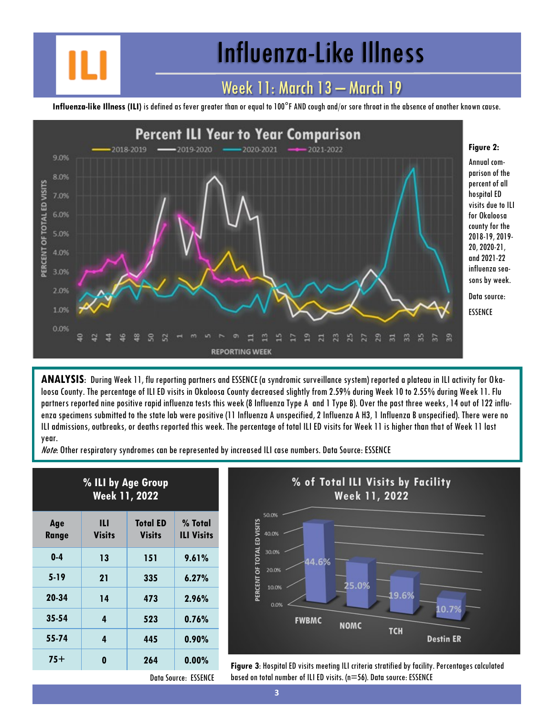## Influenza-Like Illness

### Week 11: March 13 – March 19

**Influenza-like Illness (ILI)** is defined as fever greater than or equal to 100°F AND cough and/or sore throat in the absence of another known cause.



**ANALYSIS**: During Week 11, flu reporting partners and ESSENCE (a syndromic surveillance system) reported a plateau in ILI activity for Okaloosa County. The percentage of ILI ED visits in Okaloosa County decreased slightly from 2.59% during Week 10 to 2.55% during Week 11. Flu partners reported nine positive rapid influenza tests this week (8 Influenza Type A and 1 Type B). Over the past three weeks, 14 out of 122 influenza specimens submitted to the state lab were positive (11 Influenza A unspecified, 2 Influenza A H3, 1 Influenza B unspecified). There were no ILI admissions, outbreaks, or deaths reported this week. The percentage of total ILI ED visits for Week 11 is higher than that of Week 11 last year.

Note: Other respiratory syndromes can be represented by increased ILI case numbers. Data Source: ESSENCE

| % ILI by Age Group<br><b>Week 11, 2022</b> |                    |                                  |                              |
|--------------------------------------------|--------------------|----------------------------------|------------------------------|
| Age<br>Range                               | Ш<br><b>Visits</b> | <b>Total ED</b><br><b>Visits</b> | % Total<br><b>ILI Visits</b> |
| $0-4$                                      | 13                 | 151                              | 9.61%                        |
| $5-19$                                     | 21                 | 335                              | 6.27%                        |
| 20-34                                      | 14                 | 473                              | 2.96%                        |
| 35-54                                      | 4                  | 523                              | 0.76%                        |
| 55-74                                      | 4                  | 445                              | $0.90\%$                     |
| $75+$                                      | 0                  | 264                              | $0.00\%$                     |



**75+ <sup>0</sup> <sup>264</sup> 0.00% Figure 3**: Hospital ED visits meeting ILI criteria stratified by facility. Percentages calculated based on total number of ILI ED visits. (n=56). Data source: ESSENCE

Data Source: ESSENCE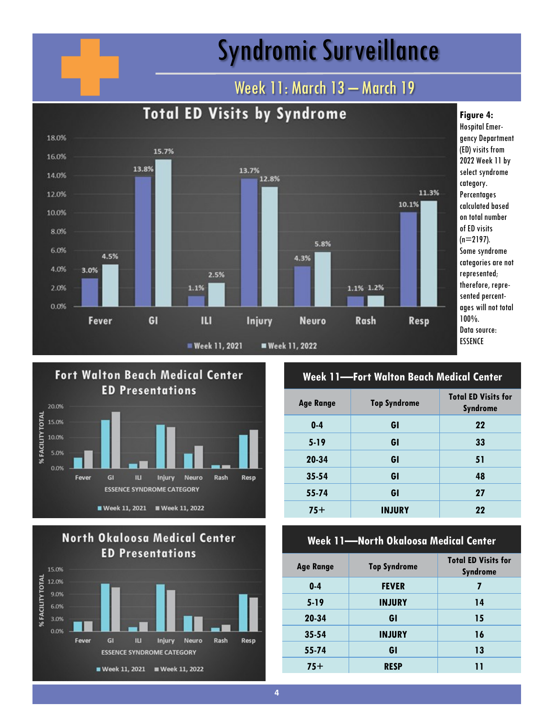## Syndromic Surveillance

### Week 11: March 13 - March 19







#### **Week 11—Fort Walton Beach Medical Center**

| <b>Age Range</b> | <b>Top Syndrome</b> | <b>Total ED Visits for</b><br><b>Syndrome</b> |
|------------------|---------------------|-----------------------------------------------|
| $0-4$            | GI                  | 22                                            |
| $5-19$           | GI                  | 33                                            |
| 20-34            | GI                  | 51                                            |
| $35 - 54$        | GI                  | 48                                            |
| 55-74            | GI                  | 27                                            |
| $75+$            | <b>INJURY</b>       | 22                                            |

#### **Week 11—North Okaloosa Medical Center**

| <b>Age Range</b> | <b>Top Syndrome</b> | <b>Total ED Visits for</b><br><b>Syndrome</b> |
|------------------|---------------------|-----------------------------------------------|
| $0 - 4$          | <b>FEVER</b>        | 7                                             |
| $5-19$           | <b>INJURY</b>       | 14                                            |
| 20-34            | GI                  | 15                                            |
| $35 - 54$        | <b>INJURY</b>       | 16                                            |
| 55-74            | GI                  | 13                                            |
| $75+$            | <b>RESP</b>         | ו ו                                           |